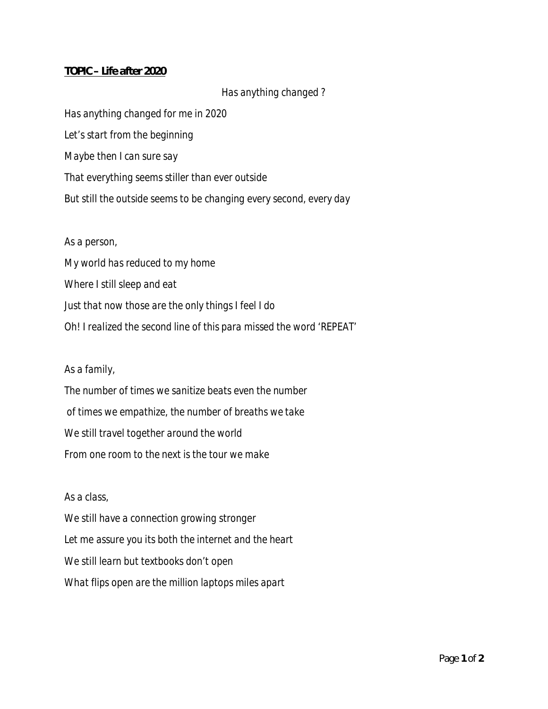## *TOPIC – Life after 2020*

# *Has anything changed ?*

*Has anything changed for me in 2020 Let's start from the beginning Maybe then I can sure say That everything seems stiller than ever outside But still the outside seems to be changing every second, every day*

#### *As a person,*

*My world has reduced to my home Where I still sleep and eat Just that now those are the only things I feel I do Oh! I realized the second line of this para missed the word 'REPEAT'*

## *As a family,*

*The number of times we sanitize beats even the number of times we empathize, the number of breaths we take We still travel together around the world From one room to the next is the tour we make*

### *As a class,*

*We still have a connection growing stronger Let me assure you its both the internet and the heart We still learn but textbooks don't open What flips open are the million laptops miles apart*